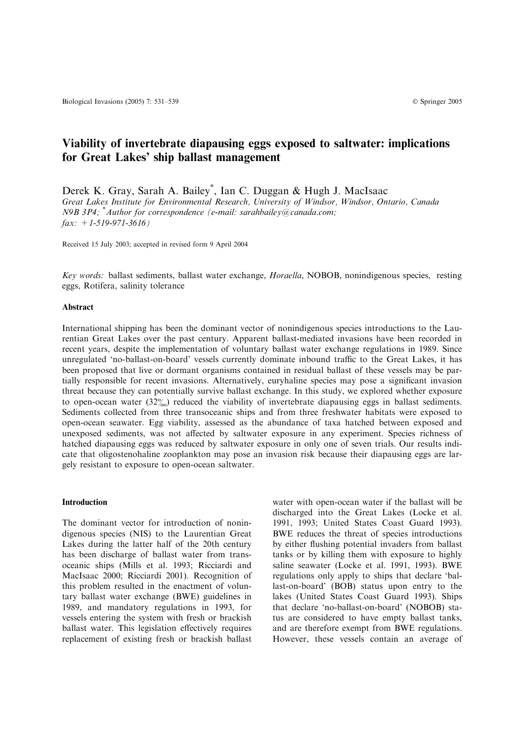# Viability of invertebrate diapausing eggs exposed to saltwater: implications for Great Lakes' ship ballast management

Derek K. Gray, Sarah A. Bailey\* , Ian C. Duggan & Hugh J. MacIsaac Great Lakes Institute for Environmental Research, University of Windsor, Windsor, Ontario, Canada N9B 3P4; \* Author for correspondence (e-mail: sarahbailey@canada.com;  $\text{fax:} \ + 1 - \frac{519 - 971 - 3616}{\text{F}}$ 

Received 15 July 2003; accepted in revised form 9 April 2004

Key words: ballast sediments, ballast water exchange, Horaella, NOBOB, nonindigenous species, resting eggs, Rotifera, salinity tolerance

## Abstract

International shipping has been the dominant vector of nonindigenous species introductions to the Laurentian Great Lakes over the past century. Apparent ballast-mediated invasions have been recorded in recent years, despite the implementation of voluntary ballast water exchange regulations in 1989. Since unregulated 'no-ballast-on-board' vessels currently dominate inbound traffic to the Great Lakes, it has been proposed that live or dormant organisms contained in residual ballast of these vessels may be partially responsible for recent invasions. Alternatively, euryhaline species may pose a significant invasion threat because they can potentially survive ballast exchange. In this study, we explored whether exposure to open-ocean water  $(32\%)$  reduced the viability of invertebrate diapausing eggs in ballast sediments. Sediments collected from three transoceanic ships and from three freshwater habitats were exposed to open-ocean seawater. Egg viability, assessed as the abundance of taxa hatched between exposed and unexposed sediments, was not affected by saltwater exposure in any experiment. Species richness of hatched diapausing eggs was reduced by saltwater exposure in only one of seven trials. Our results indicate that oligostenohaline zooplankton may pose an invasion risk because their diapausing eggs are largely resistant to exposure to open-ocean saltwater.

## Introduction

The dominant vector for introduction of nonindigenous species (NIS) to the Laurentian Great Lakes during the latter half of the 20th century has been discharge of ballast water from transoceanic ships (Mills et al. 1993; Ricciardi and MacIsaac 2000; Ricciardi 2001). Recognition of this problem resulted in the enactment of voluntary ballast water exchange (BWE) guidelines in 1989, and mandatory regulations in 1993, for vessels entering the system with fresh or brackish ballast water. This legislation effectively requires replacement of existing fresh or brackish ballast water with open-ocean water if the ballast will be discharged into the Great Lakes (Locke et al. 1991, 1993; United States Coast Guard 1993). BWE reduces the threat of species introductions by either flushing potential invaders from ballast tanks or by killing them with exposure to highly saline seawater (Locke et al. 1991, 1993). BWE regulations only apply to ships that declare 'ballast-on-board' (BOB) status upon entry to the lakes (United States Coast Guard 1993). Ships that declare 'no-ballast-on-board' (NOBOB) status are considered to have empty ballast tanks, and are therefore exempt from BWE regulations. However, these vessels contain an average of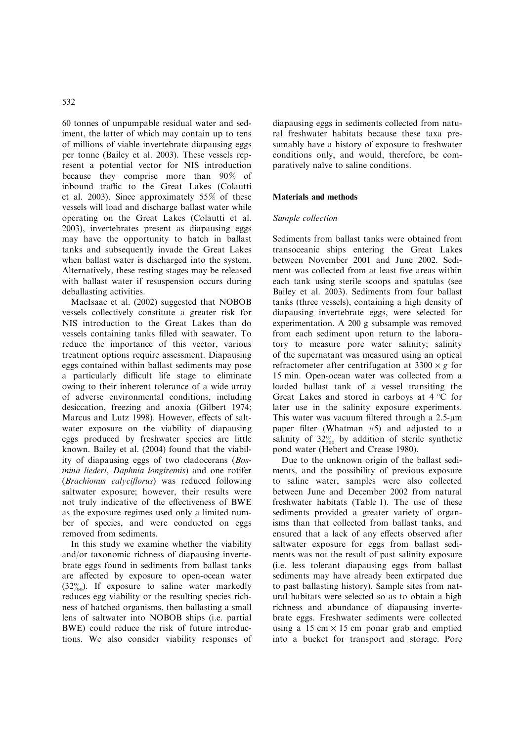60 tonnes of unpumpable residual water and sediment, the latter of which may contain up to tens of millions of viable invertebrate diapausing eggs per tonne (Bailey et al. 2003). These vessels represent a potential vector for NIS introduction because they comprise more than 90% of inbound traffic to the Great Lakes (Colautti et al. 2003). Since approximately 55% of these vessels will load and discharge ballast water while operating on the Great Lakes (Colautti et al. 2003), invertebrates present as diapausing eggs may have the opportunity to hatch in ballast tanks and subsequently invade the Great Lakes when ballast water is discharged into the system. Alternatively, these resting stages may be released with ballast water if resuspension occurs during deballasting activities.

MacIsaac et al. (2002) suggested that NOBOB vessels collectively constitute a greater risk for NIS introduction to the Great Lakes than do vessels containing tanks filled with seawater. To reduce the importance of this vector, various treatment options require assessment. Diapausing eggs contained within ballast sediments may pose a particularly difficult life stage to eliminate owing to their inherent tolerance of a wide array of adverse environmental conditions, including desiccation, freezing and anoxia (Gilbert 1974; Marcus and Lutz 1998). However, effects of saltwater exposure on the viability of diapausing eggs produced by freshwater species are little known. Bailey et al. (2004) found that the viability of diapausing eggs of two cladocerans (Bosmina liederi, Daphnia longiremis) and one rotifer (Brachionus calyciflorus) was reduced following saltwater exposure; however, their results were not truly indicative of the effectiveness of BWE as the exposure regimes used only a limited number of species, and were conducted on eggs removed from sediments.

In this study we examine whether the viability and/or taxonomic richness of diapausing invertebrate eggs found in sediments from ballast tanks are affected by exposure to open-ocean water  $(32\%)$ . If exposure to saline water markedly reduces egg viability or the resulting species richness of hatched organisms, then ballasting a small lens of saltwater into NOBOB ships (i.e. partial BWE) could reduce the risk of future introductions. We also consider viability responses of diapausing eggs in sediments collected from natural freshwater habitats because these taxa presumably have a history of exposure to freshwater conditions only, and would, therefore, be comparatively naïve to saline conditions.

## Materials and methods

## Sample collection

Sediments from ballast tanks were obtained from transoceanic ships entering the Great Lakes between November 2001 and June 2002. Sediment was collected from at least five areas within each tank using sterile scoops and spatulas (see Bailey et al. 2003). Sediments from four ballast tanks (three vessels), containing a high density of diapausing invertebrate eggs, were selected for experimentation. A 200 g subsample was removed from each sediment upon return to the laboratory to measure pore water salinity; salinity of the supernatant was measured using an optical refractometer after centrifugation at  $3300 \times g$  for 15 min. Open-ocean water was collected from a loaded ballast tank of a vessel transiting the Great Lakes and stored in carboys at  $4^{\circ}$ C for later use in the salinity exposure experiments. This water was vacuum filtered through a  $2.5$ - $\mu$ m paper filter (Whatman #5) and adjusted to a salinity of  $32\%$  by addition of sterile synthetic pond water (Hebert and Crease 1980).

Due to the unknown origin of the ballast sediments, and the possibility of previous exposure to saline water, samples were also collected between June and December 2002 from natural freshwater habitats (Table 1). The use of these sediments provided a greater variety of organisms than that collected from ballast tanks, and ensured that a lack of any effects observed after saltwater exposure for eggs from ballast sediments was not the result of past salinity exposure (i.e. less tolerant diapausing eggs from ballast sediments may have already been extirpated due to past ballasting history). Sample sites from natural habitats were selected so as to obtain a high richness and abundance of diapausing invertebrate eggs. Freshwater sediments were collected using a 15 cm  $\times$  15 cm ponar grab and emptied into a bucket for transport and storage. Pore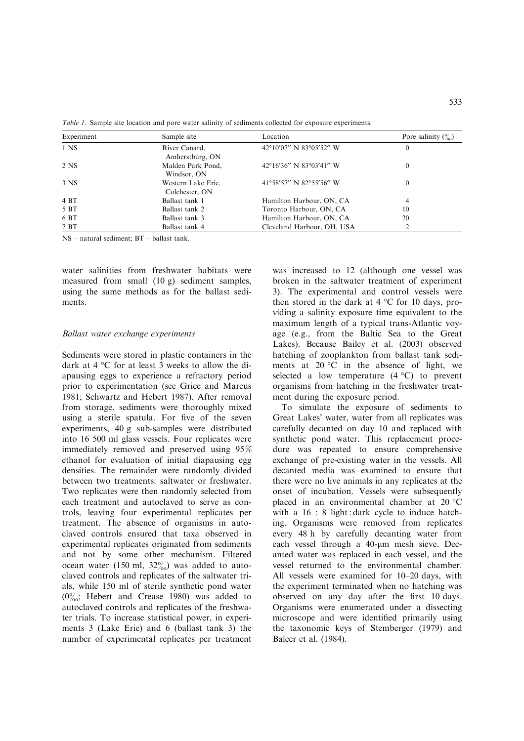Table 1. Sample site location and pore water salinity of sediments collected for exposure experiments.

| Experiment      | Sample site                          | Location                                     | Pore salinity $\binom{0}{00}$ |
|-----------------|--------------------------------------|----------------------------------------------|-------------------------------|
| 1 <sub>NS</sub> | River Canard,                        | 42°10'07" N 83°05'52" W                      | $\theta$                      |
|                 | Amherstburg, ON                      |                                              |                               |
| 2 NS            | Malden Park Pond,<br>Windsor, ON     | $42^{\circ}16'36''$ N 83 $^{\circ}03'41''$ W | $\theta$                      |
| 3 NS            | Western Lake Erie,<br>Colchester, ON | 41°58'57" N 82°55'56" W                      | $\theta$                      |
| 4 BT            | Ballast tank 1                       | Hamilton Harbour, ON, CA                     | 4                             |
| 5 BT            | Ballast tank 2                       | Toronto Harbour, ON, CA                      | 10                            |
| 6 BT            | Ballast tank 3                       | Hamilton Harbour, ON, CA                     | 20                            |
| 7B              | Ballast tank 4                       | Cleveland Harbour, OH, USA                   |                               |

NS – natural sediment; BT – ballast tank.

water salinities from freshwater habitats were measured from small (10 g) sediment samples, using the same methods as for the ballast sediments.

## Ballast water exchange experiments

Sediments were stored in plastic containers in the dark at  $4 \text{ }^{\circ}C$  for at least 3 weeks to allow the diapausing eggs to experience a refractory period prior to experimentation (see Grice and Marcus 1981; Schwartz and Hebert 1987). After removal from storage, sediments were thoroughly mixed using a sterile spatula. For five of the seven experiments, 40 g sub-samples were distributed into 16 500 ml glass vessels. Four replicates were immediately removed and preserved using 95% ethanol for evaluation of initial diapausing egg densities. The remainder were randomly divided between two treatments: saltwater or freshwater. Two replicates were then randomly selected from each treatment and autoclaved to serve as controls, leaving four experimental replicates per treatment. The absence of organisms in autoclaved controls ensured that taxa observed in experimental replicates originated from sediments and not by some other mechanism. Filtered ocean water (150 ml,  $32\%$ ) was added to autoclaved controls and replicates of the saltwater trials, while 150 ml of sterile synthetic pond water  $(0\%_{00};$  Hebert and Crease 1980) was added to autoclaved controls and replicates of the freshwater trials. To increase statistical power, in experiments 3 (Lake Erie) and 6 (ballast tank 3) the number of experimental replicates per treatment

was increased to 12 (although one vessel was broken in the saltwater treatment of experiment 3). The experimental and control vessels were then stored in the dark at  $4^{\circ}$ C for 10 days, providing a salinity exposure time equivalent to the maximum length of a typical trans-Atlantic voyage (e.g., from the Baltic Sea to the Great Lakes). Because Bailey et al. (2003) observed hatching of zooplankton from ballast tank sediments at  $20^{\circ}$ C in the absence of light, we selected a low temperature  $(4 °C)$  to prevent organisms from hatching in the freshwater treatment during the exposure period.

To simulate the exposure of sediments to Great Lakes' water, water from all replicates was carefully decanted on day 10 and replaced with synthetic pond water. This replacement procedure was repeated to ensure comprehensive exchange of pre-existing water in the vessels. All decanted media was examined to ensure that there were no live animals in any replicates at the onset of incubation. Vessels were subsequently placed in an environmental chamber at  $20^{\circ}$ C with a  $16 : 8$  light: dark cycle to induce hatching. Organisms were removed from replicates every 48 h by carefully decanting water from each vessel through a 40-um mesh sieve. Decanted water was replaced in each vessel, and the vessel returned to the environmental chamber. All vessels were examined for 10–20 days, with the experiment terminated when no hatching was observed on any day after the first 10 days. Organisms were enumerated under a dissecting microscope and were identified primarily using the taxonomic keys of Stemberger (1979) and Balcer et al. (1984).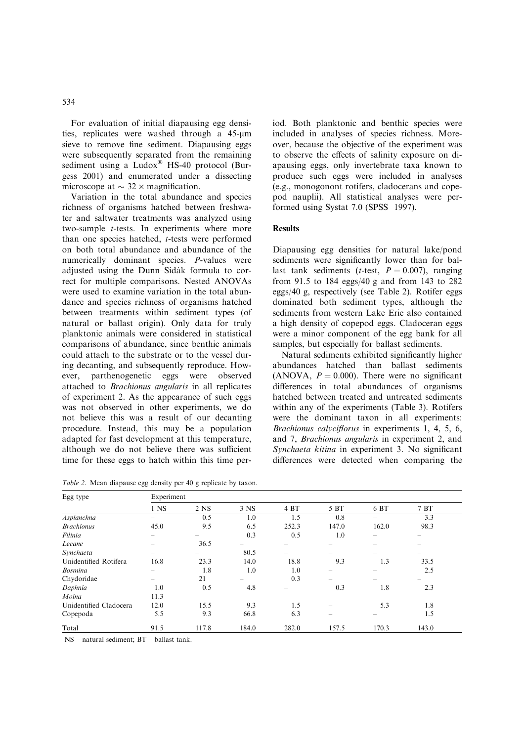For evaluation of initial diapausing egg densities, replicates were washed through a 45-um sieve to remove fine sediment. Diapausing eggs were subsequently separated from the remaining sediment using a Ludox $^{\circledR}$  HS-40 protocol (Burgess 2001) and enumerated under a dissecting microscope at  $\sim$  32  $\times$  magnification.

Variation in the total abundance and species richness of organisms hatched between freshwater and saltwater treatments was analyzed using two-sample t-tests. In experiments where more than one species hatched, t-tests were performed on both total abundance and abundance of the numerically dominant species. P-values were adjusted using the Dunn–Sidák formula to correct for multiple comparisons. Nested ANOVAs were used to examine variation in the total abundance and species richness of organisms hatched between treatments within sediment types (of natural or ballast origin). Only data for truly planktonic animals were considered in statistical comparisons of abundance, since benthic animals could attach to the substrate or to the vessel during decanting, and subsequently reproduce. However, parthenogenetic eggs were observed attached to Brachionus angularis in all replicates of experiment 2. As the appearance of such eggs was not observed in other experiments, we do not believe this was a result of our decanting procedure. Instead, this may be a population adapted for fast development at this temperature, although we do not believe there was sufficient time for these eggs to hatch within this time per-

Table 2. Mean diapause egg density per 40 g replicate by taxon.

iod. Both planktonic and benthic species were included in analyses of species richness. Moreover, because the objective of the experiment was to observe the effects of salinity exposure on diapausing eggs, only invertebrate taxa known to produce such eggs were included in analyses (e.g., monogonont rotifers, cladocerans and copepod nauplii). All statistical analyses were performed using Systat 7.0 (SPSS 1997).

## **Results**

Diapausing egg densities for natural lake/pond sediments were significantly lower than for ballast tank sediments (*t*-test,  $P = 0.007$ ), ranging from 91.5 to 184 eggs/40 g and from 143 to 282 eggs/40 g, respectively (see Table 2). Rotifer eggs dominated both sediment types, although the sediments from western Lake Erie also contained a high density of copepod eggs. Cladoceran eggs were a minor component of the egg bank for all samples, but especially for ballast sediments.

Natural sediments exhibited significantly higher abundances hatched than ballast sediments (ANOVA,  $P = 0.000$ ). There were no significant differences in total abundances of organisms hatched between treated and untreated sediments within any of the experiments (Table 3). Rotifers were the dominant taxon in all experiments: Brachionus calyciflorus in experiments 1, 4, 5, 6, and 7, Brachionus angularis in experiment 2, and Synchaeta kitina in experiment 3. No significant differences were detected when comparing the

| Egg type               | Experiment |       |                          |       |                          |          |       |  |
|------------------------|------------|-------|--------------------------|-------|--------------------------|----------|-------|--|
|                        | 1 NS       | 2 NS  | 3 NS                     | 4 BT  | 5 BT                     | 6 BT     | 7 BT  |  |
| Asplanchna             |            | 0.5   | 1.0                      | 1.5   | 0.8                      | $\equiv$ | 3.3   |  |
| <b>Brachionus</b>      | 45.0       | 9.5   | 6.5                      | 252.3 | 147.0                    | 162.0    | 98.3  |  |
| Filinia                |            |       | 0.3                      | 0.5   | 1.0                      | $\equiv$ |       |  |
| Lecane                 |            | 36.5  |                          |       |                          |          |       |  |
| Synchaeta              |            |       | 80.5                     |       |                          |          |       |  |
| Unidentified Rotifera  | 16.8       | 23.3  | 14.0                     | 18.8  | 9.3                      | 1.3      | 33.5  |  |
| <b>Bosmina</b>         |            | 1.8   | 1.0                      | 1.0   |                          |          | 2.5   |  |
| Chydoridae             |            | 21    | $\overline{\phantom{m}}$ | 0.3   | $\overline{\phantom{0}}$ |          |       |  |
| Daphnia                | 1.0        | 0.5   | 4.8                      |       | 0.3                      | 1.8      | 2.3   |  |
| Moina                  | 11.3       |       |                          |       |                          |          |       |  |
| Unidentified Cladocera | 12.0       | 15.5  | 9.3                      | 1.5   |                          | 5.3      | 1.8   |  |
| Copepoda               | 5.5        | 9.3   | 66.8                     | 6.3   |                          |          | 1.5   |  |
| Total                  | 91.5       | 117.8 | 184.0                    | 282.0 | 157.5                    | 170.3    | 143.0 |  |

NS – natural sediment; BT – ballast tank.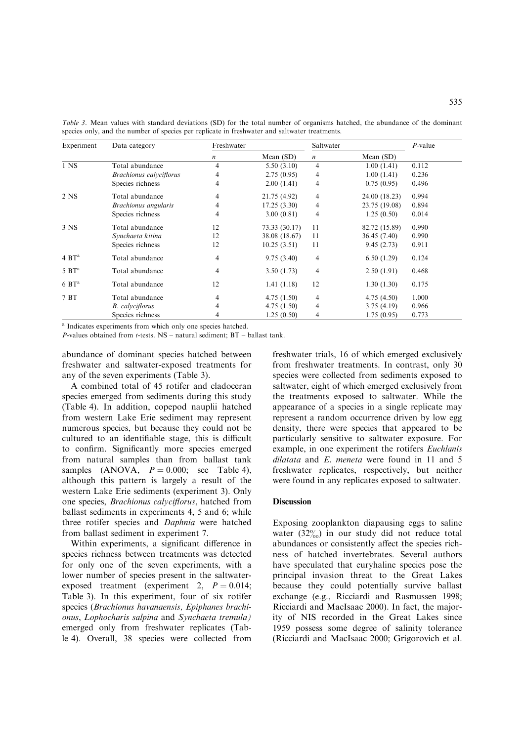Table 3. Mean values with standard deviations (SD) for the total number of organisms hatched, the abundance of the dominant species only, and the number of species per replicate in freshwater and saltwater treatments.

| Experiment                | Data category           | Freshwater       |               | Saltwater        | $P$ -value    |       |
|---------------------------|-------------------------|------------------|---------------|------------------|---------------|-------|
|                           |                         | $\boldsymbol{n}$ | Mean (SD)     | $\boldsymbol{n}$ | Mean $(SD)$   |       |
| $1$ NS                    | Total abundance         | 4                | 5.50(3.10)    | 4                | 1.00(1.41)    | 0.112 |
|                           | Brachionus calvciflorus | 4                | 2.75(0.95)    | 4                | 1.00(1.41)    | 0.236 |
|                           | Species richness        | 4                | 2.00(1.41)    | 4                | 0.75(0.95)    | 0.496 |
| 2 NS                      | Total abundance         | 4                | 21.75 (4.92)  | 4                | 24.00 (18.23) | 0.994 |
|                           | Brachionus angularis    | 4                | 17.25(3.30)   | 4                | 23.75 (19.08) | 0.894 |
|                           | Species richness        | 4                | 3.00(0.81)    | 4                | 1.25(0.50)    | 0.014 |
| 3 NS                      | Total abundance         | 12               | 73.33 (30.17) | 11               | 82.72 (15.89) | 0.990 |
|                           | Synchaeta kitina        | 12               | 38.08 (18.67) | 11               | 36.45 (7.40)  | 0.990 |
|                           | Species richness        | 12               | 10.25(3.51)   | 11               | 9.45(2.73)    | 0.911 |
| $4 \text{ BT}^{\text{a}}$ | Total abundance         | 4                | 9.75(3.40)    | $\overline{4}$   | 6.50(1.29)    | 0.124 |
| $5 \text{ BT}^a$          | Total abundance         | 4                | 3.50(1.73)    | 4                | 2.50(1.91)    | 0.468 |
| $6\,\mathrm{BT}^a$        | Total abundance         | 12               | 1.41(1.18)    | 12               | 1.30(1.30)    | 0.175 |
| 7B                        | Total abundance         | 4                | 4.75(1.50)    | $\overline{4}$   | 4.75(4.50)    | 1.000 |
|                           | <b>B.</b> calveiflorus  | 4                | 4.75(1.50)    | 4                | 3.75(4.19)    | 0.966 |
|                           | Species richness        | 4                | 1.25(0.50)    | 4                | 1.75(0.95)    | 0.773 |

<sup>a</sup> Indicates experiments from which only one species hatched.

*P*-values obtained from *t*-tests.  $NS$  – natural sediment;  $BT$  – ballast tank.

abundance of dominant species hatched between freshwater and saltwater-exposed treatments for any of the seven experiments (Table 3).

A combined total of 45 rotifer and cladoceran species emerged from sediments during this study (Table 4). In addition, copepod nauplii hatched from western Lake Erie sediment may represent numerous species, but because they could not be cultured to an identifiable stage, this is difficult to confirm. Significantly more species emerged from natural samples than from ballast tank samples (ANOVA,  $P = 0.000$ ; see Table 4), although this pattern is largely a result of the western Lake Erie sediments (experiment 3). Only one species, Brachionus calyciflorus, hatched from ballast sediments in experiments 4, 5 and 6; while three rotifer species and Daphnia were hatched from ballast sediment in experiment 7.

Within experiments, a significant difference in species richness between treatments was detected for only one of the seven experiments, with a lower number of species present in the saltwaterexposed treatment (experiment 2,  $P = 0.014$ ; Table 3). In this experiment, four of six rotifer species (Brachionus havanaensis, Epiphanes brachionus, Lophocharis salpina and Synchaeta tremula) emerged only from freshwater replicates (Table 4). Overall, 38 species were collected from

freshwater trials, 16 of which emerged exclusively from freshwater treatments. In contrast, only 30 species were collected from sediments exposed to saltwater, eight of which emerged exclusively from the treatments exposed to saltwater. While the appearance of a species in a single replicate may represent a random occurrence driven by low egg density, there were species that appeared to be particularly sensitive to saltwater exposure. For example, in one experiment the rotifers Euchlanis dilatata and E. meneta were found in 11 and 5 freshwater replicates, respectively, but neither were found in any replicates exposed to saltwater.

## **Discussion**

Exposing zooplankton diapausing eggs to saline water  $(32\%)$  in our study did not reduce total abundances or consistently affect the species richness of hatched invertebrates. Several authors have speculated that euryhaline species pose the principal invasion threat to the Great Lakes because they could potentially survive ballast exchange (e.g., Ricciardi and Rasmussen 1998; Ricciardi and MacIsaac 2000). In fact, the majority of NIS recorded in the Great Lakes since 1959 possess some degree of salinity tolerance (Ricciardi and MacIsaac 2000; Grigorovich et al.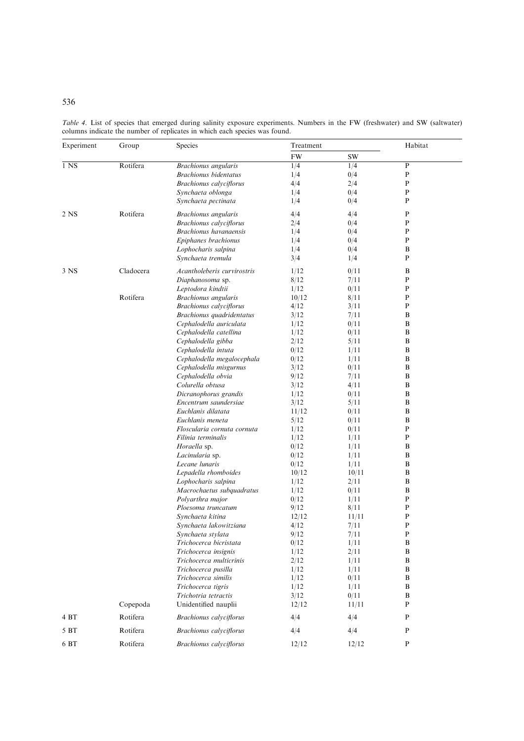| Experiment | Group     | Species                      | Treatment |       |              |  |
|------------|-----------|------------------------------|-----------|-------|--------------|--|
|            |           |                              | FW        | SW    |              |  |
| 1 NS       | Rotifera  | Brachionus angularis         | 1/4       | 1/4   | P            |  |
|            |           | <b>Brachionus bidentatus</b> | 1/4       | 0/4   | ${\bf P}$    |  |
|            |           | Brachionus calvciflorus      | 4/4       | 2/4   | P            |  |
|            |           | Synchaeta oblonga            | 1/4       | 0/4   | $\mathbf P$  |  |
|            |           | Synchaeta pectinata          | 1/4       | 0/4   | P            |  |
| 2 NS       | Rotifera  | Brachionus angularis         | 4/4       | 4/4   | P            |  |
|            |           | Brachionus calyciflorus      | 2/4       | 0/4   | P            |  |
|            |           | Brachionus havanaensis       | 1/4       | 0/4   | $\mathbf{P}$ |  |
|            |           | Epiphanes brachionus         | 1/4       | 0/4   | P            |  |
|            |           | Lophocharis salpina          | 1/4       | 0/4   | B            |  |
|            |           | Synchaeta tremula            | 3/4       | 1/4   | P            |  |
| 3 NS       | Cladocera | Acantholeberis curvirostris  | 1/12      | 0/11  | B            |  |
|            |           | Diaphanosoma sp.             | 8/12      | 7/11  | P            |  |
|            |           | Leptodora kindtii            | 1/12      | 0/11  | $\mathbf P$  |  |
|            | Rotifera  | Brachionus angularis         | 10/12     | 8/11  | P            |  |
|            |           | Brachionus calyciflorus      | 4/12      | 3/11  | P            |  |
|            |           | Brachionus quadridentatus    | 3/12      | 7/11  | B            |  |
|            |           | Cephalodella auriculata      | 1/12      | 0/11  | B            |  |
|            |           | Cephalodella catellina       | 1/12      | 0/11  | B            |  |
|            |           | Cephalodella gibba           | 2/12      | 5/11  | B            |  |
|            |           | Cephalodella intuta          | 0/12      | 1/11  | B            |  |
|            |           | Cephalodella megalocephala   | 0/12      | 1/11  | B            |  |
|            |           | Cephalodella misgurnus       | 3/12      | 0/11  | B            |  |
|            |           | Cephalodella obvia           | 9/12      | 7/11  | B            |  |
|            |           | Colurella obtusa             | 3/12      | 4/11  | B            |  |
|            |           | Dicranophorus grandis        | 1/12      | 0/11  | B            |  |
|            |           | Encentrum saundersiae        | 3/12      | 5/11  | B            |  |
|            |           | Euchlanis dilatata           | 11/12     | 0/11  | B            |  |
|            |           | Euchlanis meneta             | 5/12      | 0/11  | B            |  |
|            |           | Floscularia cornuta cornuta  | 1/12      | 0/11  | P            |  |
|            |           | Filinia terminalis           | 1/12      | 1/11  | $\mathbf P$  |  |
|            |           | Horaella sp.                 | 0/12      | 1/11  | B            |  |
|            |           | Lacinularia sp.              | 0/12      | 1/11  | B            |  |
|            |           | Lecane lunaris               | 0/12      | 1/11  | B            |  |
|            |           | Lepadella rhomboides         | 10/12     | 10/11 | B            |  |
|            |           | Lophocharis salpina          | 1/12      | 2/11  | B            |  |
|            |           | Macrochaetus subquadratus    | 1/12      | 0/11  | B            |  |
|            |           | Polyarthra major             | 0/12      | 1/11  | P            |  |
|            |           | Ploesoma truncatum           | 9/12      | 8/11  | ${\bf P}$    |  |
|            |           | Synchaeta kitina             | 12/12     | 11/11 | P            |  |
|            |           | Synchaeta lakowitziana       | 4/12      | 7/11  | $\mathbf{P}$ |  |
|            |           | Synchaeta stylata            | 9/12      | 7/11  | $\, {\bf P}$ |  |
|            |           | Trichocerca bicristata       | 0/12      | 1/11  | B            |  |
|            |           | Trichocerca insignis         | 1/12      | 2/11  | $\, {\bf B}$ |  |
|            |           | Trichocerca multicrinis      | 2/12      | 1/11  | $\, {\bf B}$ |  |
|            |           | Trichocerca pusilla          | 1/12      | 1/11  | B            |  |
|            |           | Trichocerca similis          | 1/12      | 0/11  | B            |  |
|            |           | Trichocerca tigris           | 1/12      | 1/11  | $\, {\bf B}$ |  |
|            |           | Trichotria tetractis         | 3/12      | 0/11  | B            |  |
|            | Copepoda  | Unidentified nauplii         | 12/12     | 11/11 | ${\bf P}$    |  |
| 4 BT       | Rotifera  | Brachionus calyciflorus      | 4/4       | 4/4   | $\, {\bf P}$ |  |
| 5 BT       | Rotifera  | Brachionus calyciflorus      | 4/4       | 4/4   | $\, {\bf P}$ |  |
| 6 BT       | Rotifera  | Brachionus calyciflorus      | 12/12     | 12/12 | ${\bf P}$    |  |

Table 4. List of species that emerged during salinity exposure experiments. Numbers in the FW (freshwater) and SW (saltwater) columns indicate the number of replicates in which each species was found.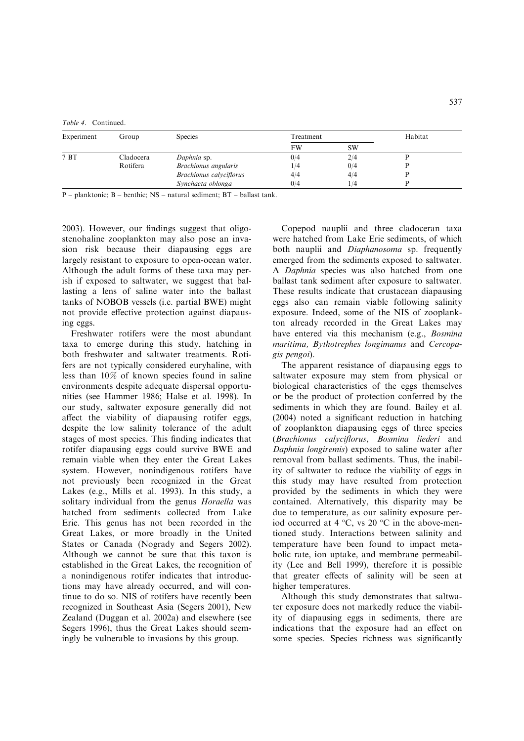Table 4. Continued.

| Experiment | Group     | <b>Species</b>          | Treatment |     | Habitat |
|------------|-----------|-------------------------|-----------|-----|---------|
|            |           |                         | FW        | SW  |         |
| 7BT        | Cladocera | Daphnia sp.             | 0/4       | 2/4 |         |
|            | Rotifera  | Brachionus angularis    | 1/4       | 0/4 |         |
|            |           | Brachionus calyciflorus | 4/4       | 4/4 |         |
|            |           | Synchaeta oblonga       | 0/4       | 1/4 |         |

P – planktonic; B – benthic; NS – natural sediment; BT – ballast tank.

2003). However, our findings suggest that oligostenohaline zooplankton may also pose an invasion risk because their diapausing eggs are largely resistant to exposure to open-ocean water. Although the adult forms of these taxa may perish if exposed to saltwater, we suggest that ballasting a lens of saline water into the ballast tanks of NOBOB vessels (i.e. partial BWE) might not provide effective protection against diapausing eggs.

Freshwater rotifers were the most abundant taxa to emerge during this study, hatching in both freshwater and saltwater treatments. Rotifers are not typically considered euryhaline, with less than 10% of known species found in saline environments despite adequate dispersal opportunities (see Hammer 1986; Halse et al. 1998). In our study, saltwater exposure generally did not affect the viability of diapausing rotifer eggs, despite the low salinity tolerance of the adult stages of most species. This finding indicates that rotifer diapausing eggs could survive BWE and remain viable when they enter the Great Lakes system. However, nonindigenous rotifers have not previously been recognized in the Great Lakes (e.g., Mills et al. 1993). In this study, a solitary individual from the genus Horaella was hatched from sediments collected from Lake Erie. This genus has not been recorded in the Great Lakes, or more broadly in the United States or Canada (Nogrady and Segers 2002). Although we cannot be sure that this taxon is established in the Great Lakes, the recognition of a nonindigenous rotifer indicates that introductions may have already occurred, and will continue to do so. NIS of rotifers have recently been recognized in Southeast Asia (Segers 2001), New Zealand (Duggan et al. 2002a) and elsewhere (see Segers 1996), thus the Great Lakes should seemingly be vulnerable to invasions by this group.

Copepod nauplii and three cladoceran taxa were hatched from Lake Erie sediments, of which both nauplii and *Diaphanosoma* sp. frequently emerged from the sediments exposed to saltwater. A Daphnia species was also hatched from one ballast tank sediment after exposure to saltwater. These results indicate that crustacean diapausing eggs also can remain viable following salinity exposure. Indeed, some of the NIS of zooplankton already recorded in the Great Lakes may have entered via this mechanism (e.g., Bosmina maritima, Bythotrephes longimanus and Cercopagis pengoi).

The apparent resistance of diapausing eggs to saltwater exposure may stem from physical or biological characteristics of the eggs themselves or be the product of protection conferred by the sediments in which they are found. Bailey et al. (2004) noted a significant reduction in hatching of zooplankton diapausing eggs of three species (Brachionus calyciflorus, Bosmina liederi and Daphnia longiremis) exposed to saline water after removal from ballast sediments. Thus, the inability of saltwater to reduce the viability of eggs in this study may have resulted from protection provided by the sediments in which they were contained. Alternatively, this disparity may be due to temperature, as our salinity exposure period occurred at 4  $\degree$ C, vs 20  $\degree$ C in the above-mentioned study. Interactions between salinity and temperature have been found to impact metabolic rate, ion uptake, and membrane permeability (Lee and Bell 1999), therefore it is possible that greater effects of salinity will be seen at higher temperatures.

Although this study demonstrates that saltwater exposure does not markedly reduce the viability of diapausing eggs in sediments, there are indications that the exposure had an effect on some species. Species richness was significantly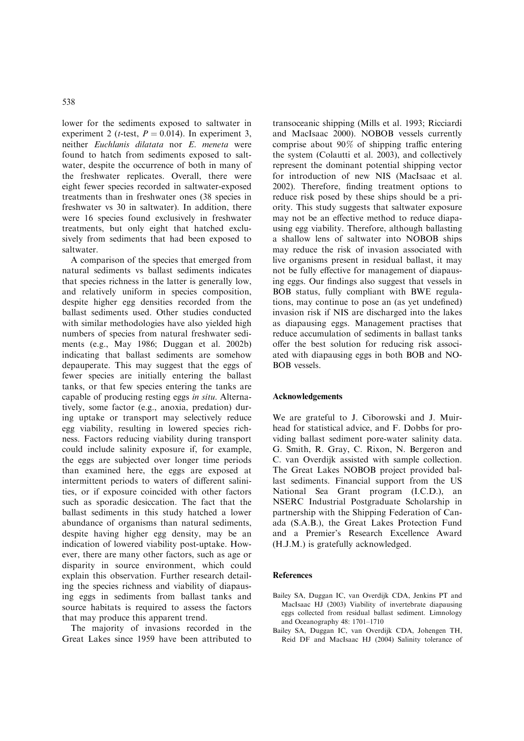lower for the sediments exposed to saltwater in experiment 2 (*t*-test,  $P = 0.014$ ). In experiment 3, neither Euchlanis dilatata nor E. meneta were found to hatch from sediments exposed to saltwater, despite the occurrence of both in many of the freshwater replicates. Overall, there were eight fewer species recorded in saltwater-exposed treatments than in freshwater ones (38 species in freshwater vs 30 in saltwater). In addition, there were 16 species found exclusively in freshwater treatments, but only eight that hatched exclusively from sediments that had been exposed to saltwater.

A comparison of the species that emerged from natural sediments vs ballast sediments indicates that species richness in the latter is generally low, and relatively uniform in species composition, despite higher egg densities recorded from the ballast sediments used. Other studies conducted with similar methodologies have also yielded high numbers of species from natural freshwater sediments (e.g., May 1986; Duggan et al. 2002b) indicating that ballast sediments are somehow depauperate. This may suggest that the eggs of fewer species are initially entering the ballast tanks, or that few species entering the tanks are capable of producing resting eggs in situ. Alternatively, some factor (e.g., anoxia, predation) during uptake or transport may selectively reduce egg viability, resulting in lowered species richness. Factors reducing viability during transport could include salinity exposure if, for example, the eggs are subjected over longer time periods than examined here, the eggs are exposed at intermittent periods to waters of different salinities, or if exposure coincided with other factors such as sporadic desiccation. The fact that the ballast sediments in this study hatched a lower abundance of organisms than natural sediments, despite having higher egg density, may be an indication of lowered viability post-uptake. However, there are many other factors, such as age or disparity in source environment, which could explain this observation. Further research detailing the species richness and viability of diapausing eggs in sediments from ballast tanks and source habitats is required to assess the factors that may produce this apparent trend.

The majority of invasions recorded in the Great Lakes since 1959 have been attributed to

transoceanic shipping (Mills et al. 1993; Ricciardi and MacIsaac 2000). NOBOB vessels currently comprise about 90% of shipping traffic entering the system (Colautti et al. 2003), and collectively represent the dominant potential shipping vector for introduction of new NIS (MacIsaac et al. 2002). Therefore, finding treatment options to reduce risk posed by these ships should be a priority. This study suggests that saltwater exposure may not be an effective method to reduce diapausing egg viability. Therefore, although ballasting a shallow lens of saltwater into NOBOB ships may reduce the risk of invasion associated with live organisms present in residual ballast, it may not be fully effective for management of diapausing eggs. Our findings also suggest that vessels in BOB status, fully compliant with BWE regulations, may continue to pose an (as yet undefined) invasion risk if NIS are discharged into the lakes as diapausing eggs. Management practises that reduce accumulation of sediments in ballast tanks offer the best solution for reducing risk associated with diapausing eggs in both BOB and NO-BOB vessels.

#### Acknowledgements

We are grateful to J. Ciborowski and J. Muirhead for statistical advice, and F. Dobbs for providing ballast sediment pore-water salinity data. G. Smith, R. Gray, C. Rixon, N. Bergeron and C. van Overdijk assisted with sample collection. The Great Lakes NOBOB project provided ballast sediments. Financial support from the US National Sea Grant program (I.C.D.), an NSERC Industrial Postgraduate Scholarship in partnership with the Shipping Federation of Canada (S.A.B.), the Great Lakes Protection Fund and a Premier's Research Excellence Award (H.J.M.) is gratefully acknowledged.

#### References

- Bailey SA, Duggan IC, van Overdijk CDA, Jenkins PT and MacIsaac HJ (2003) Viability of invertebrate diapausing eggs collected from residual ballast sediment. Limnology and Oceanography 48: 1701–1710
- Bailey SA, Duggan IC, van Overdijk CDA, Johengen TH, Reid DF and MacIsaac HJ (2004) Salinity tolerance of